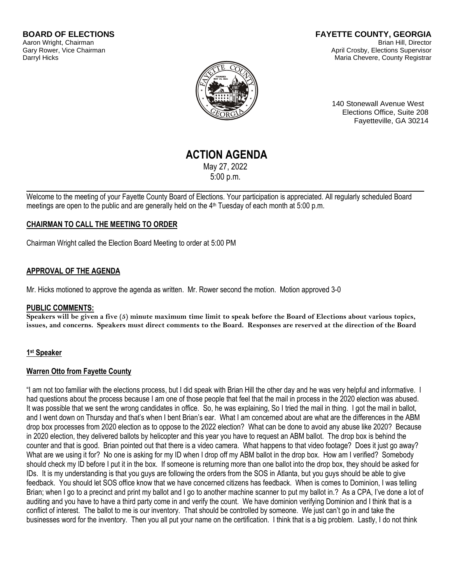#### **FAYETTE COUNTY, GEORGIA** Brian Hill, Director April Crosby, Elections Supervisor Maria Chevere, County Registrar



140 Stonewall Avenue West Elections Office, Suite 208 Fayetteville, GA 30214

# **ACTION AGENDA**

May 27, 2022 5:00 p.m.

Welcome to the meeting of your Fayette County Board of Elections. Your participation is appreciated. All regularly scheduled Board meetings are open to the public and are generally held on the 4<sup>th</sup> Tuesday of each month at 5:00 p.m.

### **CHAIRMAN TO CALL THE MEETING TO ORDER**

Chairman Wright called the Election Board Meeting to order at 5:00 PM

### **APPROVAL OF THE AGENDA**

Mr. Hicks motioned to approve the agenda as written. Mr. Rower second the motion. Motion approved 3-0

### **PUBLIC COMMENTS:**

**Speakers will be given a five (5) minute maximum time limit to speak before the Board of Elections about various topics, issues, and concerns. Speakers must direct comments to the Board. Responses are reserved at the direction of the Board**

### **1 st Speaker**

### **Warren Otto from Fayette County**

"I am not too familiar with the elections process, but I did speak with Brian Hill the other day and he was very helpful and informative. I had questions about the process because I am one of those people that feel that the mail in process in the 2020 election was abused. It was possible that we sent the wrong candidates in office. So, he was explaining, So I tried the mail in thing. I got the mail in ballot, and I went down on Thursday and that's when I bent Brian's ear. What I am concerned about are what are the differences in the ABM drop box processes from 2020 election as to oppose to the 2022 election? What can be done to avoid any abuse like 2020? Because in 2020 election, they delivered ballots by helicopter and this year you have to request an ABM ballot. The drop box is behind the counter and that is good. Brian pointed out that there is a video camera. What happens to that video footage? Does it just go away? What are we using it for? No one is asking for my ID when I drop off my ABM ballot in the drop box. How am I verified? Somebody should check my ID before I put it in the box. If someone is returning more than one ballot into the drop box, they should be asked for IDs. It is my understanding is that you guys are following the orders from the SOS in Atlanta, but you guys should be able to give feedback. You should let SOS office know that we have concerned citizens has feedback. When is comes to Dominion, I was telling Brian; when I go to a precinct and print my ballot and I go to another machine scanner to put my ballot in.? As a CPA, I've done a lot of auditing and you have to have a third party come in and verify the count. We have dominion verifying Dominion and I think that is a conflict of interest. The ballot to me is our inventory. That should be controlled by someone. We just can't go in and take the businesses word for the inventory. Then you all put your name on the certification. I think that is a big problem. Lastly, I do not think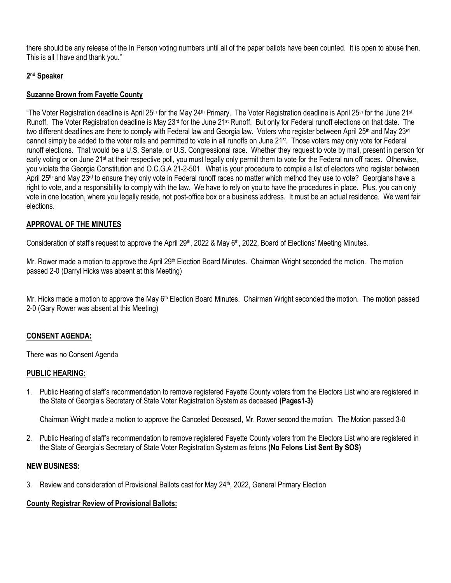there should be any release of the In Person voting numbers until all of the paper ballots have been counted. It is open to abuse then. This is all I have and thank you."

# **2 nd Speaker**

# **Suzanne Brown from Fayette County**

"The Voter Registration deadline is April 25<sup>th</sup> for the May 24<sup>th</sup> Primary. The Voter Registration deadline is April 25<sup>th</sup> for the June 21<sup>st</sup> Runoff. The Voter Registration deadline is May  $23^{rd}$  for the June  $21st$  Runoff. But only for Federal runoff elections on that date. The two different deadlines are there to comply with Federal law and Georgia law. Voters who register between April 25<sup>th</sup> and May 23<sup>rd</sup> cannot simply be added to the voter rolls and permitted to vote in all runoffs on June 21st. Those voters may only vote for Federal runoff elections. That would be a U.S. Senate, or U.S. Congressional race. Whether they request to vote by mail, present in person for early voting or on June 21<sup>st</sup> at their respective poll, you must legally only permit them to vote for the Federal run off races. Otherwise, you violate the Georgia Constitution and O.C.G.A 21-2-501. What is your procedure to compile a list of electors who register between April 25<sup>th</sup> and May 23<sup>rd</sup> to ensure they only vote in Federal runoff races no matter which method they use to vote? Georgians have a right to vote, and a responsibility to comply with the law. We have to rely on you to have the procedures in place. Plus, you can only vote in one location, where you legally reside, not post-office box or a business address. It must be an actual residence. We want fair elections.

# **APPROVAL OF THE MINUTES**

Consideration of staff's request to approve the April 29<sup>th</sup>, 2022 & May 6<sup>th</sup>, 2022, Board of Elections' Meeting Minutes.

Mr. Rower made a motion to approve the April 29<sup>th</sup> Election Board Minutes. Chairman Wright seconded the motion. The motion passed 2-0 (Darryl Hicks was absent at this Meeting)

Mr. Hicks made a motion to approve the May  $6<sup>th</sup>$  Election Board Minutes. Chairman Wright seconded the motion. The motion passed 2-0 (Gary Rower was absent at this Meeting)

### **CONSENT AGENDA:**

There was no Consent Agenda

### **PUBLIC HEARING:**

1. Public Hearing of staff's recommendation to remove registered Fayette County voters from the Electors List who are registered in the State of Georgia's Secretary of State Voter Registration System as deceased **(Pages1-3)**

Chairman Wright made a motion to approve the Canceled Deceased, Mr. Rower second the motion. The Motion passed 3-0

2. Public Hearing of staff's recommendation to remove registered Fayette County voters from the Electors List who are registered in the State of Georgia's Secretary of State Voter Registration System as felons **(No Felons List Sent By SOS)**

### **NEW BUSINESS:**

3. Review and consideration of Provisional Ballots cast for May 24<sup>th</sup>, 2022, General Primary Election

# **County Registrar Review of Provisional Ballots:**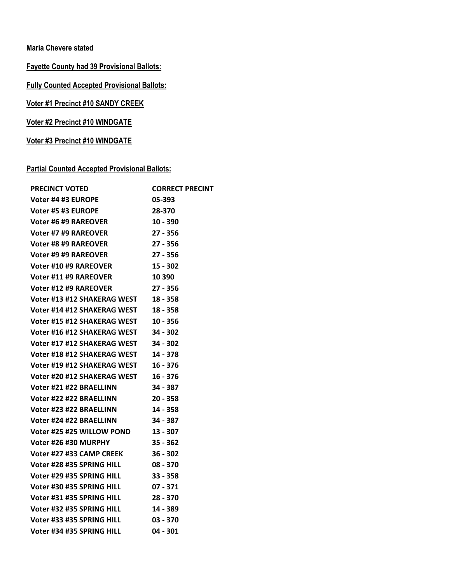# **Maria Chevere stated**

# **Fayette County had 39 Provisional Ballots:**

**Fully Counted Accepted Provisional Ballots:**

**Voter #1 Precinct #10 SANDY CREEK**

**Voter #2 Precinct #10 WINDGATE**

**Voter #3 Precinct #10 WINDGATE**

# **Partial Counted Accepted Provisional Ballots:**

| <b>PRECINCT VOTED</b>                | <b>CORRECT PRECINT</b> |
|--------------------------------------|------------------------|
| Voter #4 #3 EUROPE                   | 05-393                 |
| Voter #5 #3 EUROPE                   | 28-370                 |
| Voter #6 #9 RAREOVER                 | $10 - 390$             |
| Voter #7 #9 RAREOVER                 | $27 - 356$             |
| Voter #8 #9 RAREOVER                 | $27 - 356$             |
| Voter #9 #9 RAREOVER                 | 27 - 356               |
| <b>Voter #10 #9 RAREOVER</b>         | $15 - 302$             |
| Voter #11 #9 RAREOVER                | 10 3 9 0               |
| Voter #12 #9 RAREOVER                | 27 - 356               |
| Voter #13 #12 SHAKERAG WEST 18 - 358 |                        |
| Voter #14 #12 SHAKERAG WEST 18 - 358 |                        |
| Voter #15 #12 SHAKERAG WEST 10 - 356 |                        |
| Voter #16 #12 SHAKERAG WEST 34 - 302 |                        |
| Voter #17 #12 SHAKERAG WEST 34 - 302 |                        |
| Voter #18 #12 SHAKERAG WEST 14 - 378 |                        |
| Voter #19 #12 SHAKERAG WEST 16 - 376 |                        |
| Voter #20 #12 SHAKERAG WEST 16 - 376 |                        |
| Voter #21 #22 BRAELLINN 34 - 387     |                        |
| Voter #22 #22 BRAELLINN              | $20 - 358$             |
| Voter #23 #22 BRAELLINN              | 14 - 358               |
| Voter #24 #22 BRAELLINN              | $34 - 387$             |
| Voter #25 #25 WILLOW POND 13 - 307   |                        |
| Voter #26 #30 MURPHY                 | 35 - 362               |
| Voter #27 #33 CAMP CREEK 36 - 302    |                        |
| Voter #28 #35 SPRING HILL 08 - 370   |                        |
| Voter #29 #35 SPRING HILL            | 33 - 358               |
| Voter #30 #35 SPRING HILL 07 - 371   |                        |
| Voter #31 #35 SPRING HILL            | 28 - 370               |
| Voter #32 #35 SPRING HILL            | 14 - 389               |
| Voter #33 #35 SPRING HILL 03 - 370   |                        |
| Voter #34 #35 SPRING HILL            | $04 - 301$             |
|                                      |                        |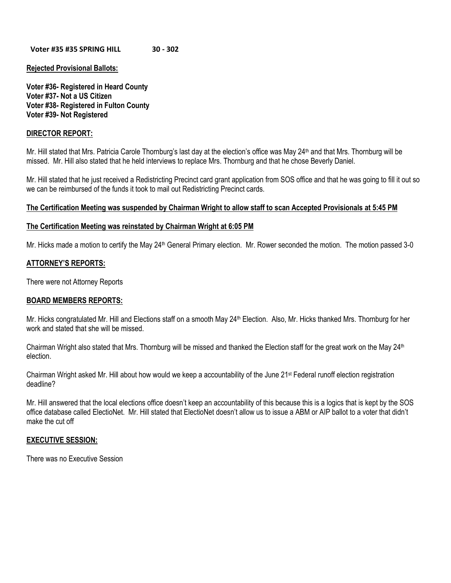#### **Voter #35 #35 SPRING HILL 30 - 302**

### **Rejected Provisional Ballots:**

**Voter #36- Registered in Heard County Voter #37- Not a US Citizen Voter #38- Registered in Fulton County Voter #39- Not Registered**

### **DIRECTOR REPORT:**

Mr. Hill stated that Mrs. Patricia Carole Thornburg's last day at the election's office was May 24<sup>th</sup> and that Mrs. Thornburg will be missed. Mr. Hill also stated that he held interviews to replace Mrs. Thornburg and that he chose Beverly Daniel.

Mr. Hill stated that he just received a Redistricting Precinct card grant application from SOS office and that he was going to fill it out so we can be reimbursed of the funds it took to mail out Redistricting Precinct cards.

### **The Certification Meeting was suspended by Chairman Wright to allow staff to scan Accepted Provisionals at 5:45 PM**

### **The Certification Meeting was reinstated by Chairman Wright at 6:05 PM**

Mr. Hicks made a motion to certify the May 24<sup>th</sup> General Primary election. Mr. Rower seconded the motion. The motion passed 3-0

### **ATTORNEY'S REPORTS:**

There were not Attorney Reports

#### **BOARD MEMBERS REPORTS:**

Mr. Hicks congratulated Mr. Hill and Elections staff on a smooth May 24<sup>th</sup> Election. Also, Mr. Hicks thanked Mrs. Thornburg for her work and stated that she will be missed.

Chairman Wright also stated that Mrs. Thornburg will be missed and thanked the Election staff for the great work on the May  $24<sup>th</sup>$ election.

Chairman Wright asked Mr. Hill about how would we keep a accountability of the June  $21<sup>st</sup>$  Federal runoff election registration deadline?

Mr. Hill answered that the local elections office doesn't keep an accountability of this because this is a logics that is kept by the SOS office database called ElectioNet. Mr. Hill stated that ElectioNet doesn't allow us to issue a ABM or AIP ballot to a voter that didn't make the cut off

#### **EXECUTIVE SESSION:**

There was no Executive Session